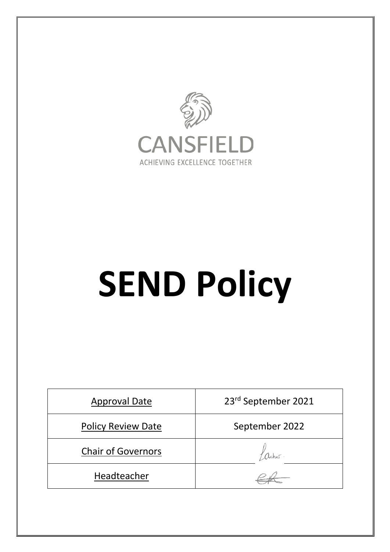

# **SEND Policy**

| <b>Approval Date</b>      | 23rd September 2021 |
|---------------------------|---------------------|
| <b>Policy Review Date</b> | September 2022      |
| <b>Chair of Governors</b> |                     |
| Headteacher               |                     |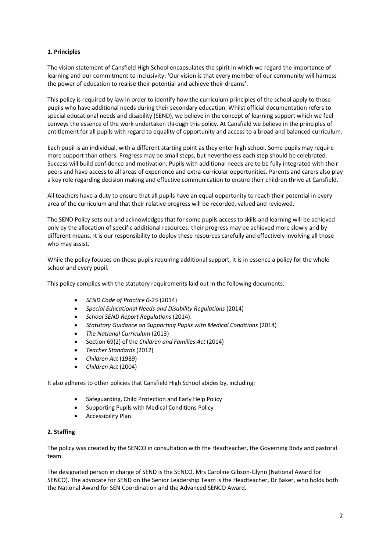# **1. Principles**

The vision statement of Cansfield High School encapsulates the spirit in which we regard the importance of learning and our commitment to inclusivity: 'Our vision is that every member of our community will harness the power of education to realise their potential and achieve their dreams'.

This policy is required by law in order to identify how the curriculum principles of the school apply to those pupils who have additional needs during their secondary education. Whilst official documentation refers to special educational needs and disability (SEND), we believe in the concept of learning support which we feel conveys the essence of the work undertaken through this policy. At Cansfield we believe in the principles of entitlement for all pupils with regard to equality of opportunity and access to a broad and balanced curriculum.

Each pupil is an individual, with a different starting point as they enter high school. Some pupils may require more support than others. Progress may be small steps, but nevertheless each step should be celebrated. Success will build confidence and motivation. Pupils with additional needs are to be fully integrated with their peers and have access to all areas of experience and extra-curricular opportunities. Parents and carers also play a key role regarding decision making and effective communication to ensure their children thrive at Cansfield.

All teachers have a duty to ensure that all pupils have an equal opportunity to reach their potential in every area of the curriculum and that their relative progress will be recorded, valued and reviewed.

The SEND Policy sets out and acknowledges that for some pupils access to skills and learning will be achieved only by the allocation of specific additional resources: their progress may be achieved more slowly and by different means. It is our responsibility to deploy these resources carefully and effectively involving all those who may assist.

While the policy focuses on those pupils requiring additional support, it is in essence a policy for the whole school and every pupil.

This policy complies with the statutory requirements laid out in the following documents:

- *SEND Code of Practice 0-25* (2014)
- *Special Educational Needs and Disability Regulations* (2014)
- *School SEND Report Regulations* (2014).
- *Statutory Guidance on Supporting Pupils with Medical Conditions* (2014)
- *The National Curriculum* (2013)
- Section 69(2) of the *Children and Families Act* (2014)
- *Teacher Standards* (2012)
- *Children Act* (1989)
- *Children Act* (2004)

It also adheres to other policies that Cansfield High School abides by, including:

- Safeguarding, Child Protection and Early Help Policy
- Supporting Pupils with Medical Conditions Policy
- Accessibility Plan

### **2. Staffing**

The policy was created by the SENCO in consultation with the Headteacher, the Governing Body and pastoral team.

The designated person in charge of SEND is the SENCO, Mrs Caroline Gibson-Glynn (National Award for SENCO). The advocate for SEND on the Senior Leadership Team is the Headteacher, Dr Baker, who holds both the National Award for SEN Coordination and the Advanced SENCO Award.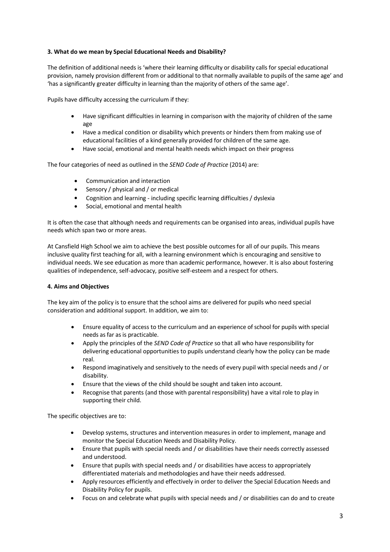# **3. What do we mean by Special Educational Needs and Disability?**

The definition of additional needs is 'where their learning difficulty or disability calls for special educational provision, namely provision different from or additional to that normally available to pupils of the same age' and 'has a significantly greater difficulty in learning than the majority of others of the same age'.

Pupils have difficulty accessing the curriculum if they:

- Have significant difficulties in learning in comparison with the majority of children of the same age
- Have a medical condition or disability which prevents or hinders them from making use of educational facilities of a kind generally provided for children of the same age.
- Have social, emotional and mental health needs which impact on their progress

The four categories of need as outlined in the *SEND Code of Practice* (2014) are:

- Communication and interaction
- Sensory / physical and / or medical
- Cognition and learning including specific learning difficulties/ dyslexia
- Social, emotional and mental health

It is often the case that although needs and requirements can be organised into areas, individual pupils have needs which span two or more areas.

At Cansfield High School we aim to achieve the best possible outcomes for all of our pupils. This means inclusive quality first teaching for all, with a learning environment which is encouraging and sensitive to individual needs. We see education as more than academic performance, however. It is also about fostering qualities of independence, self-advocacy, positive self-esteem and a respect for others.

### **4. Aims and Objectives**

The key aim of the policy is to ensure that the school aims are delivered for pupils who need special consideration and additional support. In addition, we aim to:

- Ensure equality of access to the curriculum and an experience of school for pupils with special needs as far as is practicable.
- Apply the principles of the *SEND Code of Practice* so that all who have responsibility for delivering educational opportunities to pupils understand clearly how the policy can be made real.
- Respond imaginatively and sensitively to the needs of every pupil with special needs and / or disability.
- Ensure that the views of the child should be sought and taken into account.
- Recognise that parents (and those with parental responsibility) have a vital role to play in supporting their child.

The specific objectives are to:

- Develop systems, structures and intervention measures in order to implement, manage and monitor the Special Education Needs and Disability Policy.
- Ensure that pupils with special needs and / or disabilities have their needs correctly assessed and understood.
- Ensure that pupils with special needs and / or disabilities have access to appropriately differentiated materials and methodologies and have their needs addressed.
- Apply resources efficiently and effectively in order to deliver the Special Education Needs and Disability Policy for pupils.
- Focus on and celebrate what pupils with special needs and / or disabilities can do and to create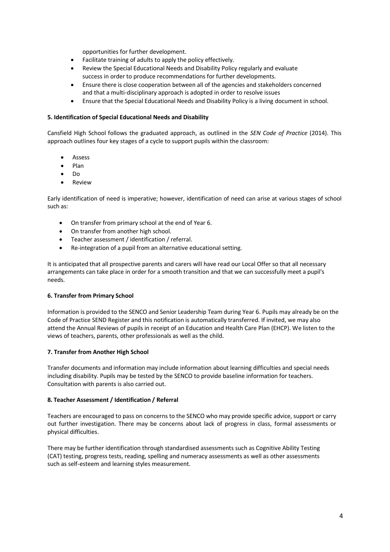opportunities for further development.

- Facilitate training of adults to apply the policy effectively.
- Review the Special Educational Needs and Disability Policy regularly and evaluate success in order to produce recommendations for further developments.
- Ensure there is close cooperation between all of the agencies and stakeholders concerned and that a multi-disciplinary approach is adopted in order to resolve issues
- Ensure that the Special Educational Needs and Disability Policy is a living document in school.

## **5. Identification of Special Educational Needs and Disability**

Cansfield High School follows the graduated approach, as outlined in the *SEN Code of Practice* (2014). This approach outlines four key stages of a cycle to support pupils within the classroom:

- **Assess**
- Plan
- Do
- **Review**

Early identification of need is imperative; however, identification of need can arise at various stages of school such as:

- On transfer from primary school at the end of Year 6.
- On transfer from another high school.
- Teacher assessment / identification / referral.
- Re-integration of a pupil from an alternative educational setting.

It is anticipated that all prospective parents and carers will have read our Local Offer so that all necessary arrangements can take place in order for a smooth transition and that we can successfully meet a pupil's needs.

### **6. Transfer from Primary School**

Information is provided to the SENCO and Senior Leadership Team during Year 6. Pupils may already be on the Code of Practice SEND Register and this notification is automatically transferred. If invited, we may also attend the Annual Reviews of pupils in receipt of an Education and Health Care Plan (EHCP). We listen to the views of teachers, parents, other professionals as well as the child.

### **7. Transfer from Another High School**

Transfer documents and information may include information about learning difficulties and special needs including disability. Pupils may be tested by the SENCO to provide baseline information for teachers. Consultation with parents is also carried out.

# **8. Teacher Assessment / Identification / Referral**

Teachers are encouraged to pass on concerns to the SENCO who may provide specific advice, support or carry out further investigation. There may be concerns about lack of progress in class, formal assessments or physical difficulties.

There may be further identification through standardised assessments such as Cognitive Ability Testing (CAT) testing, progress tests, reading, spelling and numeracy assessments as well as other assessments such as self-esteem and learning styles measurement.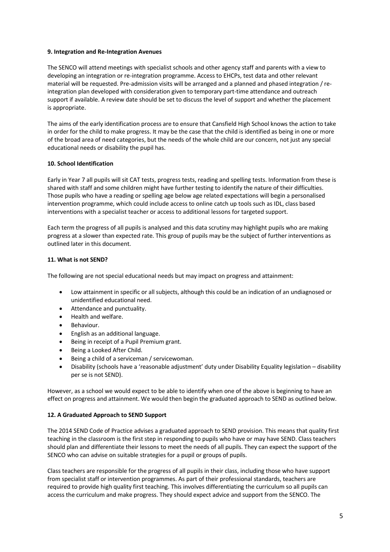## **9. Integration and Re-Integration Avenues**

The SENCO will attend meetings with specialist schools and other agency staff and parents with a view to developing an integration or re-integration programme. Access to EHCPs, test data and other relevant material will be requested. Pre-admission visits will be arranged and a planned and phased integration / reintegration plan developed with consideration given to temporary part-time attendance and outreach support if available. A review date should be set to discuss the level of support and whether the placement is appropriate.

The aims of the early identification process are to ensure that Cansfield High School knows the action to take in order for the child to make progress. It may be the case that the child is identified as being in one or more of the broad area of need categories, but the needs of the whole child are our concern, not just any special educational needs or disability the pupil has.

# **10. School Identification**

Early in Year 7 all pupils will sit CAT tests, progress tests, reading and spelling tests. Information from these is shared with staff and some children might have further testing to identify the nature of their difficulties. Those pupils who have a reading or spelling age below age related expectations will begin a personalised intervention programme, which could include access to online catch up tools such as IDL, class based interventions with a specialist teacher or access to additional lessons for targeted support.

Each term the progress of all pupils is analysed and this data scrutiny may highlight pupils who are making progress at a slower than expected rate. This group of pupils may be the subject of further interventions as outlined later in this document.

# **11. What is not SEND?**

The following are not special educational needs but may impact on progress and attainment:

- Low attainment in specific or all subjects, although this could be an indication of an undiagnosed or unidentified educational need.
- Attendance and punctuality.
- Health and welfare.
- Behaviour.
- English as an additional language.
- Being in receipt of a Pupil Premium grant.
- Being a Looked After Child.
- Being a child of a serviceman / servicewoman.
- Disability (schools have a 'reasonable adjustment' duty under Disability Equality legislation disability per se is not SEND).

However, as a school we would expect to be able to identify when one of the above is beginning to have an effect on progress and attainment. We would then begin the graduated approach to SEND as outlined below.

### **12. A Graduated Approach to SEND Support**

The 2014 SEND Code of Practice advises a graduated approach to SEND provision. This means that quality first teaching in the classroom is the first step in responding to pupils who have or may have SEND. Class teachers should plan and differentiate their lessons to meet the needs of all pupils. They can expect the support of the SENCO who can advise on suitable strategies for a pupil or groups of pupils.

Class teachers are responsible for the progress of all pupils in their class, including those who have support from specialist staff or intervention programmes. As part of their professional standards, teachers are required to provide high quality first teaching. This involves differentiating the curriculum so all pupils can access the curriculum and make progress. They should expect advice and support from the SENCO. The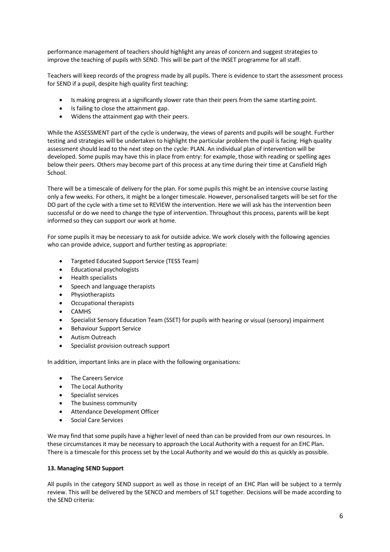performance management of teachers should highlight any areas of concern and suggest strategies to improve the teaching of pupils with SEND. This will be part of the INSET programme for all staff.

Teachers will keep records of the progress made by all pupils. There is evidence to start the assessment process for SEND if a pupil, despite high quality first teaching:

- Is making progress at a significantly slower rate than their peers from the same starting point.
- Is failing to close the attainment gap.
- Widens the attainment gap with their peers.

While the ASSESSMENT part of the cycle is underway, the views of parents and pupils will be sought. Further testing and strategies will be undertaken to highlight the particular problem the pupil is facing. High quality assessment should lead to the next step on the cycle: PLAN. An individual plan of intervention will be developed. Some pupils may have this in place from entry: for example, those with reading or spelling ages below their peers. Others may become part of this process at any time during their time at Cansfield High School.

There will be a timescale of delivery for the plan. For some pupils this might be an intensive course lasting only a few weeks. For others, it might be a longer timescale. However, personalised targets will be set for the DO part of the cycle with a time set to REVIEW the intervention. Here we will ask has the intervention been successful or do we need to change the type of intervention. Throughout this process, parents will be kept informed so they can support our work at home.

For some pupils it may be necessary to ask for outside advice. We work closely with the following agencies who can provide advice, support and further testing as appropriate:

- Targeted Educated Support Service (TESS Team)
- Educational psychologists
- Health specialists
- Speech and language therapists
- Physiotherapists
- Occupational therapists
- CAMHS
- Specialist Sensory Education Team (SSET) for pupils with hearing or visual (sensory) impairment
- Behaviour Support Service
- Autism Outreach
- Specialist provision outreach support

In addition, important links are in place with the following organisations:

- The Careers Service
- The Local Authority
- Specialist services
- The business community
- Attendance Development Officer
- Social Care Services

We may find that some pupils have a higher level of need than can be provided from our own resources. In these circumstances it may be necessary to approach the Local Authority with a request for an EHC Plan. There is a timescale for this process set by the Local Authority and we would do this as quickly as possible.

### **13. Managing SEND Support**

All pupils in the category SEND support as well as those in receipt of an EHC Plan will be subject to a termly review. This will be delivered by the SENCO and members of SLT together. Decisions will be made according to the SEND criteria: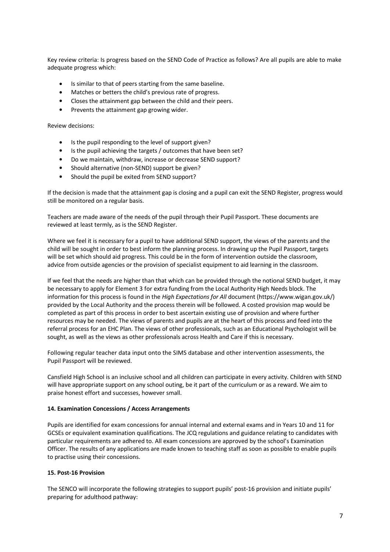Key review criteria: Is progress based on the SEND Code of Practice as follows? Are all pupils are able to make adequate progress which:

- Is similar to that of peers starting from the same baseline.
- Matches or betters the child's previous rate of progress.
- Closes the attainment gap between the child and their peers.
- Prevents the attainment gap growing wider.

Review decisions:

- Is the pupil responding to the level of support given?
- Is the pupil achieving the targets / outcomes that have been set?
- Do we maintain, withdraw, increase or decrease SEND support?
- Should alternative (non-SEND) support be given?
- Should the pupil be exited from SEND support?

If the decision is made that the attainment gap is closing and a pupil can exit the SEND Register, progress would still be monitored on a regular basis.

Teachers are made aware of the needs of the pupil through their Pupil Passport. These documents are reviewed at least termly, as is the SEND Register.

Where we feel it is necessary for a pupil to have additional SEND support, the views of the parents and the child will be sought in order to best inform the planning process. In drawing up the Pupil Passport, targets will be set which should aid progress. This could be in the form of intervention outside the classroom, advice from outside agencies or the provision of specialist equipment to aid learning in the classroom.

If we feel that the needs are higher than that which can be provided through the notional SEND budget, it may be necessary to apply for Element 3 for extra funding from the Local Authority High Needs block. The information for this process is found in the *High Expectations for All* document (https://www.wigan.gov.uk/) provided by the Local Authority and the process therein will be followed. A costed provision map would be completed as part of this process in order to best ascertain existing use of provision and where further resources may be needed. The views of parents and pupils are at the heart of this process and feed into the referral process for an EHC Plan. The views of other professionals, such as an Educational Psychologist will be sought, as well as the views as other professionals across Health and Care if this is necessary.

Following regular teacher data input onto the SIMS database and other intervention assessments, the Pupil Passport will be reviewed.

Cansfield High School is an inclusive school and all children can participate in every activity. Children with SEND will have appropriate support on any school outing, be it part of the curriculum or as a reward. We aim to praise honest effort and successes, however small.

### **14. Examination Concessions / Access Arrangements**

Pupils are identified for exam concessions for annual internal and external exams and in Years 10 and 11 for GCSEs or equivalent examination qualifications. The JCQ regulations and guidance relating to candidates with particular requirements are adhered to. All exam concessions are approved by the school's Examination Officer. The results of any applications are made known to teaching staff as soon as possible to enable pupils to practise using their concessions.

### **15. Post-16 Provision**

The SENCO will incorporate the following strategies to support pupils' post-16 provision and initiate pupils' preparing for adulthood pathway: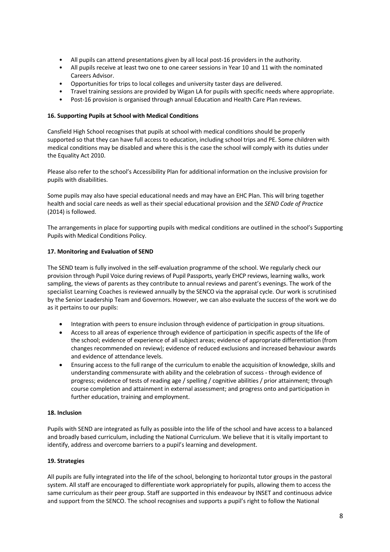- All pupils can attend presentations given by all local post-16 providers in the authority.
- All pupils receive at least two one to one career sessions in Year 10 and 11 with the nominated Careers Advisor.
- Opportunities for trips to local colleges and university taster days are delivered.
- Travel training sessions are provided by Wigan LA for pupils with specific needs where appropriate.
- Post-16 provision is organised through annual Education and Health Care Plan reviews.

### **16. Supporting Pupils at School with Medical Conditions**

Cansfield High School recognises that pupils at school with medical conditions should be properly supported so that they can have full access to education, including school trips and PE. Some children with medical conditions may be disabled and where this is the case the school will comply with its duties under the Equality Act 2010.

Please also refer to the school's Accessibility Plan for additional information on the inclusive provision for pupils with disabilities.

Some pupils may also have special educational needs and may have an EHC Plan. This will bring together health and social care needs as well as their special educational provision and the *SEND Code of Practice* (2014) is followed.

The arrangements in place for supporting pupils with medical conditions are outlined in the school's Supporting Pupils with Medical Conditions Policy.

# **17. Monitoring and Evaluation of SEND**

The SEND team is fully involved in the self-evaluation programme of the school. We regularly check our provision through Pupil Voice during reviews of Pupil Passports, yearly EHCP reviews, learning walks, work sampling, the views of parents as they contribute to annual reviews and parent's evenings. The work of the specialist Learning Coaches is reviewed annually by the SENCO via the appraisal cycle. Our work is scrutinised by the Senior Leadership Team and Governors. However, we can also evaluate the success of the work we do as it pertains to our pupils:

- Integration with peers to ensure inclusion through evidence of participation in group situations.
- Access to all areas of experience through evidence of participation in specific aspects of the life of the school; evidence of experience of all subject areas; evidence of appropriate differentiation (from changes recommended on review); evidence of reduced exclusions and increased behaviour awards and evidence of attendance levels.
- Ensuring access to the full range of the curriculum to enable the acquisition of knowledge, skills and understanding commensurate with ability and the celebration of success - through evidence of progress; evidence of tests of reading age / spelling / cognitive abilities / prior attainment; through course completion and attainment in external assessment; and progress onto and participation in further education, training and employment.

### **18. Inclusion**

Pupils with SEND are integrated as fully as possible into the life of the school and have access to a balanced and broadly based curriculum, including the National Curriculum. We believe that it is vitally important to identify, address and overcome barriers to a pupil's learning and development.

### **19. Strategies**

All pupils are fully integrated into the life of the school, belonging to horizontal tutor groups in the pastoral system. All staff are encouraged to differentiate work appropriately for pupils, allowing them to access the same curriculum as their peer group. Staff are supported in this endeavour by INSET and continuous advice and support from the SENCO. The school recognises and supports a pupil's right to follow the National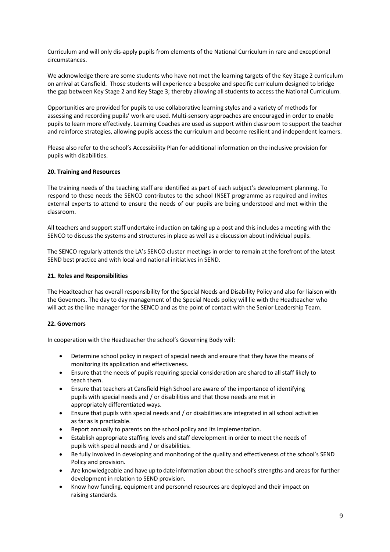Curriculum and will only dis-apply pupils from elements of the National Curriculum in rare and exceptional circumstances.

We acknowledge there are some students who have not met the learning targets of the Key Stage 2 curriculum on arrival at Cansfield. Those students will experience a bespoke and specific curriculum designed to bridge the gap between Key Stage 2 and Key Stage 3; thereby allowing all students to access the National Curriculum.

Opportunities are provided for pupils to use collaborative learning styles and a variety of methods for assessing and recording pupils' work are used. Multi-sensory approaches are encouraged in order to enable pupils to learn more effectively. Learning Coaches are used as support within classroom to support the teacher and reinforce strategies, allowing pupils access the curriculum and become resilient and independent learners.

Please also refer to the school's Accessibility Plan for additional information on the inclusive provision for pupils with disabilities.

### **20. Training and Resources**

The training needs of the teaching staff are identified as part of each subject's development planning. To respond to these needs the SENCO contributes to the school INSET programme as required and invites external experts to attend to ensure the needs of our pupils are being understood and met within the classroom.

All teachers and support staff undertake induction on taking up a post and this includes a meeting with the SENCO to discuss the systems and structures in place as well as a discussion about individual pupils.

The SENCO regularly attends the LA's SENCO cluster meetings in order to remain at the forefront of the latest SEND best practice and with local and national initiatives in SEND.

### **21. Roles and Responsibilities**

The Headteacher has overall responsibility for the Special Needs and Disability Policy and also for liaison with the Governors. The day to day management of the Special Needs policy will lie with the Headteacher who will act as the line manager for the SENCO and as the point of contact with the Senior Leadership Team.

### **22. Governors**

In cooperation with the Headteacher the school's Governing Body will:

- Determine school policy in respect of special needs and ensure that they have the means of monitoring its application and effectiveness.
- Ensure that the needs of pupils requiring special consideration are shared to all staff likely to teach them.
- Ensure that teachers at Cansfield High School are aware of the importance of identifying pupils with special needs and / or disabilities and that those needs are met in appropriately differentiated ways.
- Ensure that pupils with special needs and / or disabilities are integrated in all school activities as far as is practicable.
- Report annually to parents on the school policy and its implementation.
- Establish appropriate staffing levels and staff development in order to meet the needs of pupils with special needs and / or disabilities.
- Be fully involved in developing and monitoring of the quality and effectiveness of the school's SEND Policy and provision.
- Are knowledgeable and have up to date information about the school's strengths and areas for further development in relation to SEND provision.
- Know how funding, equipment and personnel resources are deployed and their impact on raising standards.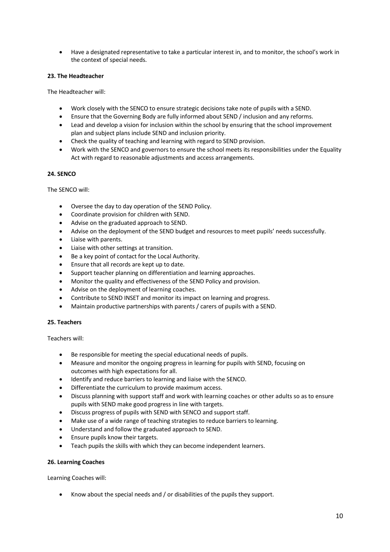• Have a designated representative to take a particular interest in, and to monitor, the school's work in the context of special needs.

# **23. The Headteacher**

The Headteacher will:

- Work closely with the SENCO to ensure strategic decisions take note of pupils with a SEND.
- Ensure that the Governing Body are fully informed about SEND / inclusion and any reforms.
- Lead and develop a vision for inclusion within the school by ensuring that the school improvement plan and subject plans include SEND and inclusion priority.
- Check the quality of teaching and learning with regard to SEND provision.
- Work with the SENCO and governors to ensure the school meets its responsibilities under the Equality Act with regard to reasonable adjustments and access arrangements.

# **24. SENCO**

The SENCO will:

- Oversee the day to day operation of the SEND Policy.
- Coordinate provision for children with SEND.
- Advise on the graduated approach to SEND.
- Advise on the deployment of the SEND budget and resources to meet pupils' needs successfully.
- Liaise with parents.
- Liaise with other settings at transition.
- Be a key point of contact for the Local Authority.
- Ensure that all records are kept up to date.
- Support teacher planning on differentiation and learning approaches.
- Monitor the quality and effectiveness of the SEND Policy and provision.
- Advise on the deployment of learning coaches.
- Contribute to SEND INSET and monitor its impact on learning and progress.
- Maintain productive partnerships with parents / carers of pupils with a SEND.

### **25. Teachers**

Teachers will:

- Be responsible for meeting the special educational needs of pupils.
- Measure and monitor the ongoing progress in learning for pupils with SEND, focusing on outcomes with high expectations for all.
- Identify and reduce barriers to learning and liaise with the SENCO.
- Differentiate the curriculum to provide maximum access.
- Discuss planning with support staff and work with learning coaches or other adults so as to ensure pupils with SEND make good progress in line with targets.
- Discuss progress of pupils with SEND with SENCO and support staff.
- Make use of a wide range of teaching strategies to reduce barriers to learning.
- Understand and follow the graduated approach to SEND.
- Ensure pupils know their targets.
- Teach pupils the skills with which they can become independent learners.

## **26. Learning Coaches**

Learning Coaches will:

• Know about the special needs and / or disabilities of the pupils they support.